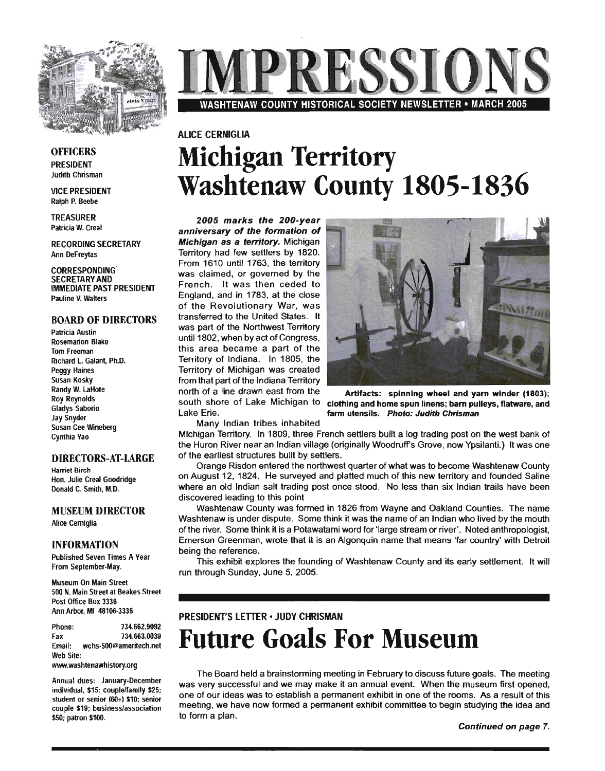

# 2 E S S I O WASHTENAW COUNTY HISTORICAL SOCIETY NEWSLETTER • MARCH 2005

## ALICE CERNIGLIA **Michigan Territory Washtenaw County 1805-1836**

 $2005$  marks the  $200$ -year anniversary of the formation of **Michigan as a territory.** Michigan Territory had few settlers by 1820. From 1610 until 1763, the territory was claimed, or governed by the French. It was then ceded to England, and in 1783, at the close of the Revolutionary War, was transferred to the United States. It was part of the Northwest Territory until 1802, when by act of Congress, this area became a part of the Territory of Indiana. In 1805, the Territory of Michigan was created from that part of the Indiana Territory north of a line drawn east from the Lake Erie.



south shore of Lake Michigan to clothing and home spun linens; barn pulleys, flatware, and Artifacts: spinning wheel and yarn winder (1803); farm utensils. Photo: Judith Chrisman

Many Indian tribes inhabited

Michigan Territory. In 1809, three French settlers built a log trading post on the west bank of the Huron River near an Indian village (originally Woodruff's Grove, now Ypsilanti.) It was one of the earliest structures built by settlers.

Orange Risdon entered the northwest quarter of what was to become Washtenaw County on August 12, 1824. He surveyed and platted much of this new territory and founded Saline where an old Indian salt trading post once stood. No less than six Indian trails have been discovered leading to this point

Washtenaw County was formed in 1826 from Wayne and Oakland Counties. The name Washtenaw is under dispute. Some think it was the name of an Indian who lived by the mouth of the river. Some think it is a Potawatami word for 'large stream or river'. Noted anthropologist, Emerson Greenman, wrote that it is an Algonquin name that means 'far country' with Detroit being the reference.

This exhibit explores the founding of Washtenaw County and its early settlement. It will run through Sunday, June 5, 2005.

#### PRESIDENT'S LETTER· JUDY CHRISMAN

## **Future Goals For Museum**

The Board held a brainstorming meeting in February to discuss future goals. The meeting was very successful and we may make it an annual event. When the museum first opened, one of our ideas was to establish a permanent exhibit in one of the rooms. As a result of this meeting, we have now formed a permanent exhibit committee to begin studying the idea and to form a plan.

## **OFFICERS**

PRESIDENT Judith Chrisman

VICE PRESIDENT Ralph P. Beebe

TREASURER Patricia W. Creal

RECORDING SECRETARY Ann DeFreytas

CORRESPONDING SECRETARY AND IMMEDIATE PAST PRESIDENT Pauline V. Walters

#### BOARD OF DIRECTORS

Patricia Austin Rosemarion Blake Tom Freeman Richard L. Galant, Ph.D. Peggy Haines Susan Kosky Randy W. LaHote Roy ReynoldS Gladys Saborio Jay Snyder Susan Cee Wineberg Cynthia Vao

#### DIRECTORS-AT-LARGE

Harriet Birch Hon. Julie Creal Goodridge Donald C. Smith, M.D.

MUSEUM DIRECTOR

Alice Cerniglia

#### INFORMATION

Published Seven Times A Vear From September-May.

Museum On Main Street 500 N. Main Street at Beakes Street Post Office Box 3336 Ann Arbor, MI 48106-3336

Phone: 734.662.9092 Fax 734.663.0039 Email: wchs-500@ameritech.net Web Site:

www.washtenawhistory.org

Annual dues: January-December individual, \$15; couple/family \$25; student or senior (60+) \$10: senior couple \$19; business/association \$50; patron \$100.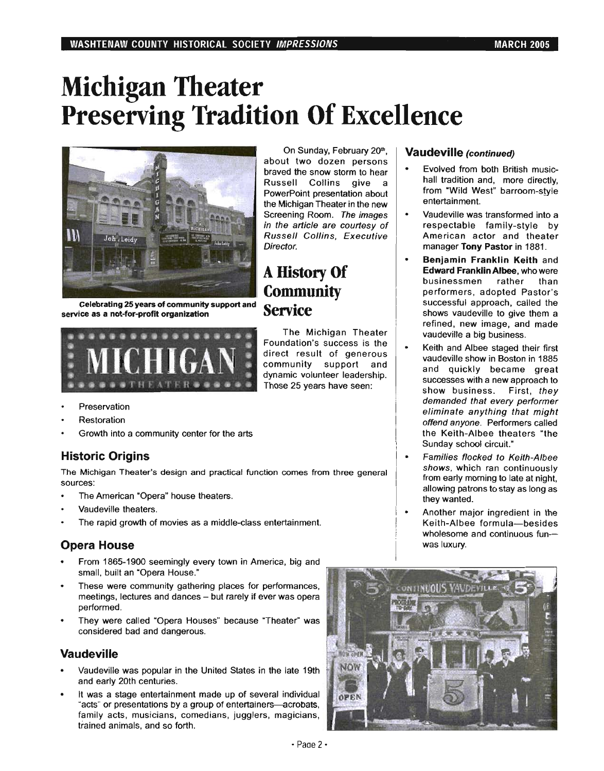# **Michigan Theater Preserving Tradition Of Excellence**



Celebrating 25 years of community support and



- Preservation
- Restoration
- Growth into a community center for the arts

## Historic Origins

The Michigan Theater's design and practical function comes from three general sources:

- The American "Opera" house theaters.
- Vaudeville theaters.
- The rapid growth of movies as a middle-class entertainment.

## Opera House

- From 1865-1900 seemingly every town in America, big and small, built an "Opera House."
- These were community gathering places for performances, meetings, lectures and dances - but rarely if ever was opera performed.
- They were called "Opera Houses" because "Theater" was considered bad and dangerous.

## Vaudeville

- Vaudeville was popular in the United States in the late 19th and early 20th centuries.
- It was a stage entertainment made up of several individual "acts" or presentations by a group of entertainers-acrobats, family acts, musicians, comedians, jugglers, magicians, trained animals, and so forth.

On Sunday, February 20<sup>th</sup>, about two dozen persons braved the snow storm to hear Russell Collins give a PowerPoint presentation about the Michigan Theater in the new Screening Room. The images in the article are courtesy of Russell Collins, Executive Director.

## A History Of **Community** Service

The Michigan Theater Foundation's success is the direct result of generous community support and dynamic volunteer leadership. Those 25 years have seen:

## Vaudeville (continued) '

- Evolved from both British musichall tradition and, more directly, from "Wild West" barroom-style entertainment.
- Vaudeville was transformed into a respectable family-style by American actor and theater manager Tony Pastor in 1881.
- Benjamin Franklin Keith and Edward Franklin Albee, who were businessmen rather than performers, adopted Pastor's successful approach, called the shows vaudeville to give them a refined, new image, and made vaudeville a big business.
- Keith and Albee staged their first vaudeville show in Boston in 1885 and quickly became great successes with a new approach to show business. First, they demanded that every performer eliminate anything that might offend anyone. Performers called the Keith-Albee theaters "the Sunday school circuit."
- Families flocked to Keith-Albee shows, which ran continuously from early morning to late at night, allowing patrons to stay as long as they wanted.
- Another major ingredient in the Keith-Albee formula-besides wholesome and continuous funwas luxury.

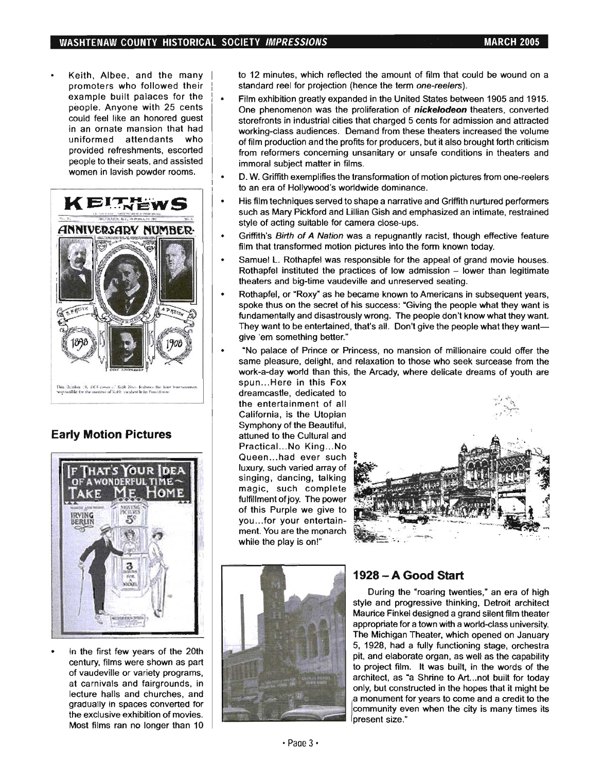Keith, Albee, and the many promoters who followed their example built palaces for the people. Anyone with 25 cents could feel like an honored guest in an ornate mansion that had uniformed attendants who provided refreshments, escorted people to their seats, and assisted women in lavish powder rooms.



## **Early Motion Pictures**



In the first few years of the 20th century, films were shown as part of vaudeville or variety programs, at carnivals and fairgrounds, in lecture halls and churches, and gradually in spaces converted for the exclusive exhibition of movies. Most films ran no longer than 10

to 12 minutes, which reflected the amount of film that could be wound on a standard reel for projection (hence the term one-reelers).

- Film exhibition greatly expanded in the United States between 1905 and 1915.  $\bullet$ One phenomenon was the proliferation of **nickelodeon** theaters, converted storefronts in industrial cities that charged 5 cents for admission and attracted working-class audiences. Demand from these theaters increased the volume of film production and the profits for producers, but it also brought forth criticism from reformers conceming unsanitary or unsafe conditions in theaters and immoral subject matter in films.
- D. W. Griffith exemplifies the transformation of motion pictures from one-reelers to an era of Hollywood's worldwide dominance.
- His film techniques served to shape a narrative and Griffith nurtured performers  $\bullet$ such as Mary Pickford and Lillian Gish and emphasized an intimate, restrained style of acting suitable for camera close-ups.
- Griffith's Birth of A Nation was a repugnantly racist, though effective feature film that transformed motion pictures into the form known today.
- Samuel L. Rothapfel was responsible for the appeal of grand movie houses. Rothapfel instituted the practices of low admission  $-$  lower than legitimate theaters and big-time vaudeville and unreserved seating.
- $\ddot{\phantom{0}}$ Rothapfel, or "Roxy' as he became known to Americans in subsequent years, spoke thus on the secret of his success: "Giving the people what they want is fundamentally and disastrously wrong. The people don't know what they want. They want to be entertained, that's all. Don't give the people what they wantgive 'em something better."
- "No palace of Prince or Princess, no mansion of millionaire could offer the same pleasure, delight, and relaxation to those who seek surcease from the work-a-day world than this, the Arcady, where delicate dreams of youth are

spun...Here in this Fox dreamcastle, dedicated to the entertainment of all California, is the Utopian Symphony of the Beautiful, attuned to the Cultural and Practical...No King...No Queen...had ever such luxury, such varied array of singing, dancing, talking magic, such complete fulfillment of joy. The power of this Purple we give to you .. .for your entertainment. You are the monarch while the play is on!"





## **1928 - A Good Start**

During the "roaring twenties," an era of high style and progressive thinking, Detroit architect Maurice Finkel designed a grand silent film theater appropriate for a town with a world-class university. The Michigan Theater, which opened on January 5, 1928, had a fully functioning stage, orchestra pit, and elaborate organ, as well as the capability to project film. It was built, in the words of the architect, as "a Shrine to Art...not built for today only, but constructed in the hopes that it might be a monument for years to come and a credit to the community even when the city is many times its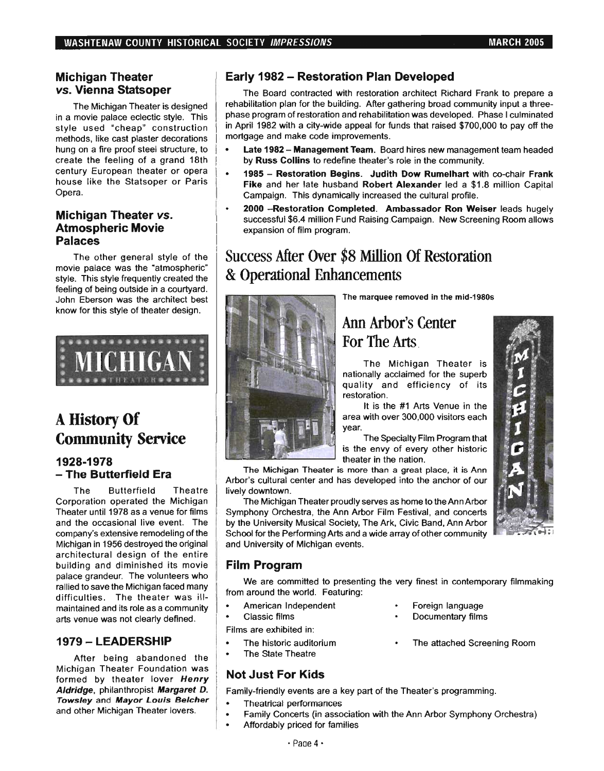## Michigan Theater *vs.* Vienna Statsoper

The Michigan Theater is designed in a movie palace eclectic style. This style used "cheap" construction methods, like cast plaster decorations hung on a fire proof steel structure, to create the feeling of a grand 18th century European theater or opera house like the Statsoper or Paris Opera.

## Michigan Theater *vs.*  Atmospheric Movie Palaces

The other general style of the movie palace was the "atmospheric' style. This style frequently created the feeling of being outside in a courtyard. John Eberson was the architect best know for this style of theater design.



## A History Of Community Service

## 1928-1978 - The Butterfield Era

The Butterfield Theatre Corporation operated the Michigan Theater until 1978 as a venue for films and the occasional live event. The company's extensive remodeling of the Michigan in 1956 destroyed the original architectural design of the entire building and diminished its movie palace grandeur. The volunteers who rallied to save the Michigan faced many difficulties. The theater was illmaintained and its role as a community arts venue was not clearly defined.

## 1979 - LEADERSHIP

After being abandoned the Michigan Theater Foundation was formed by theater lover Henry Aldridge, philanthropist Margaret D. Towsley and Mayor Louis Belcher and other Michigan Theater lovers.

## Early 1982 - Restoration Plan Developed

The Board contracted with restoration architect Richard Frank to prepare a rehabilitation plan for the building. After gathering broad community input a threephase program of restoration and rehabilitation was developed. Phase I culminated in April 1982 with a city-wide appeal for funds that raised \$700,000 to pay off the mortgage and make code improvements.

- Late 1982 Management Team. Board hires new management team headed by Russ Collins to redefine theater's role in the community.
- 1985 Restoration Begins. Judith Dow Rumelhart with co-chair Frank Fike and her late husband Robert Alexander led a \$1.8 million Capital Campaign. This dynamically increased the cultural profile.
- 2000 Restoration Completed. Ambassador Ron Weiser leads hugely successful \$6.4 million Fund Raising.Campaign. New Screening Room allows expansion of film program.

## Success After Over \$8 Million Of Restoration & Operational Enhancements



The marquee removed in the mid-1980s

## Ann Arbor's Center For The Arts

The Michigan Theater is nationally acclaimed for the superb quality and efficiency of its restoration.

It is the #1 Arts Venue in the area with over 300,000 visitors each year.

The Specialty Film Program that is the envy of every other historic theater in the nation.

The Michigan Theater is more than a great place, it is Ann Arbor's cultural center and has developed into the anchor of our lively downtown.

The Michigan Theater proudly serves as home to the Ann Arbor Symphony Orchestra, the Ann Arbor Film Festival, and concerts by the University Musical Society, The Ark, Civic Band, Ann Arbor School for the Performing Arts and a wide array of other community and University of Michigan events.

## Film Program

We are committed to presenting the very finest in contemporary filmmaking from around the world. Featuring:

- American Independent
- Classic films

Films are exhibited in:

- The historic auditorium
- The State Theatre

## **Not Just For Kids**

Family-friendly events are a key part of the Theater's programming.

- · Theatrical performances
- Family Concerts (in association with the Ann Arbor Symphony Orchestra)
- Affordably priced for families
- Foreign language
- Documentary films
- The attached Screening Room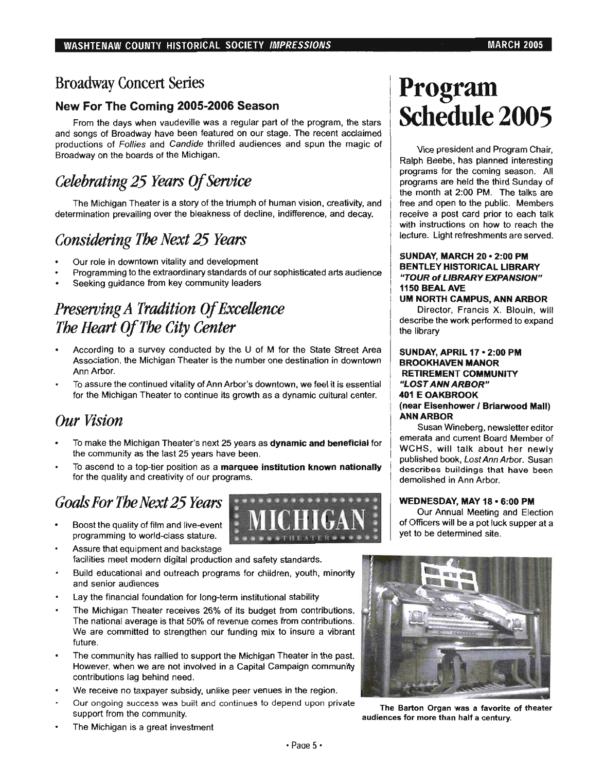## Broadway Concert Series

## New For The Coming 2005-2006 Season

From the days when vaudeville was a regular part of the program, the stars and songs of Broadway have been featured on our stage. The recent acclaimed productions of Follies and Candide thrilled audiences and spun the magic of Broadway on the boards of the Michigan.

## *Celebrating* 25 *Years Of Service*

The Michigan Theater is a story of the triumph of human vision, creativity, and determination prevailing over the bleakness of decline, indifference, and decay.

## *Considering The Next* 25 *Years*

- Our role in downtown vitality and development
- Programming to the extraordinary standards of our sophisticated arts audience
- Seeking guidance from key community leaders

## *Preserving A Tradition Of Excellence The Heart Of The City Center*

- According to a survey conducted by the U of M for the State Street Area Association, the Michigan Theater is the number one destination in downtown Ann Arbor.
- To assure the continued vitality of Ann Arbor's downtown, we feel it is essential for the Michigan Theater to continue its growth as a dynamic cultural center.

## *Our Vision*

- To make the Michigan Theater's next 25 years as dynamic and beneficial for the community as the last 25 years have been.
- To ascend to a top-tier position as a marquee institution known nationally for the quality and creativity of our programs.

## *Goals For The Next* 25 *Years*

- Boost the quality of film and live-event programming to world-class stature.
- .~.~ ........... ~ ..  $\frac{1}{2}$  MICHIGAN  $\frac{1}{2}$
- Assure that equipment and backstage facilities meet modern digital production and safety standards.
- Build educational and outreach programs for children, youth, minority and senior audiences
- Lay the financial foundation for long-term institutional stability
- The Michigan Theater receives 26% of its budget from contributions. The national average is that 50% of revenue comes from contributions. We are committed to strengthen our funding mix to insure a vibrant future.
- The community has rallied to support the Michigan Theater in the past. However. when we are not involved in a Capital Campaign community contributions lag behind need.
- We receive no taxpayer subsidy, unlike peer venues in the region.
- Our ongoing success was built and continues to depend upon private Support from the community.

# **Program Schedule 2005**

Vice president and Program Chair, Ralph Beebe, has planned interesting programs for the coming season. All programs are held the third Sunday of the month at 2:00 PM. The talks are free and open to the public. Members receive a post card prior to each talk with instructions on how to reach the lecture. Light refreshments are served.

## SUNDAY, MARCH 20· 2:00 PM BENTLEY HISTORICAL LIBRARY "TOUR of LIBRARY EXPANSION" 1150 BEALAVE

#### UM NORTH CAMPUS, ANN ARBOR

Director, Francis X. Blouin, will describe the work performed to expand the library

#### SUNDAY, APRIL 17 • 2:00 PM BROOKHAVEN MANOR RETIREMENT COMMUNITY "LOST ANN ARBOR" 401 E OAKBROOK (near Eisenhower I Briarwood Mall) ANN ARBOR

Susan Wineberg, newsletter editor emerata and current Board Member of WCHS, will talk about her newly published book, LostAnnArbor. Susan describes buildings that have been demolished in Ann Arbor.

## WEDNESDAY, MAY 18 • 6:00 PM

Our Annual Meeting and Election of Officers will be a pot luck supper at a yet to be determined site.



audiences for more than half a century.

The Michigan is a great investment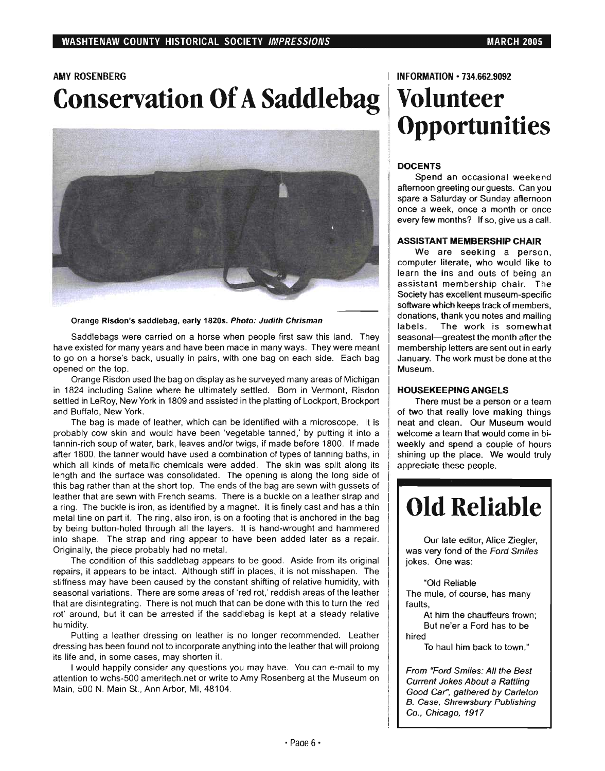## AMY ROSENBERG

# **Conservation Of A Saddlebag**



Orange Risdon's saddlebag, early 1820s. Photo: Judith Chrisman

Saddlebags were carried on a horse when people first saw this land. They have existed for many years and have been made in many ways. They were meant to go on a horse's back, usually in pairs, with one bag on each side. Each bag opened on the top.

Orange Risdon used the bag on display as he surveyed many areas of Michigan in 1824 including Saline where he ultimately settled. Born in Vermont, Risdon settled in LeRoy, New York in 1809 and assisted in the platting of Lockport, Brockport and Buffalo, New York.

The bag is made of leather, which can be identified with a microscope. It is probably cow skin and would have been 'vegetable tanned,' by putting it into a tannin-rich soup of water, bark, leaves and/or twigs, if made before 1800. If made after 1800, the tanner would have used a combination of types of tanning baths, in which all kinds of metallic chemicals were added. The skin was split along its length and the surface was consolidated. The opening is along the long side of this bag rather than at the short top. The ends of the bag are sewn with gussets of leather that are sewn with French seams. There is a buckle on a leather strap and a ring. The buckle is iron, as identified by a magnet. It is finely cast and has a thin metal tine on part it. The ring, also iron, is on a footing that is anchored in the bag by being button-holed through all the layers. It is hand-wrought and hammered into shape. The strap and ring appear to have been added later as a repair. Originally, the piece probably had no metal.

The condition of this saddlebag appears to be good. Aside from its original repairs, it appears to be intact. Although stiff in places, it is not misshapen. The stiffness may have been caused by the constant shifting of relative humidity, with seasonal variations. There are some areas of 'red rot,' reddish areas of the leather that are disintegrating. There is not much that can be done with this to turn the 'red rot' around, but it can be arrested if the saddlebag is kept at a steady relative humidity.

Putting a leather dressing on leather is no longer recommended. Leather dressing has been found not to incorporate anything into the leather that will prolong its life and, in some cases, may shorten it.

I would happily consider any questions you may have. You can e-mail to my attention to wchs-500 ameritech.net or write to Amy Rosenberg at the Museum on Main, 500 N. Main St., Ann Arbor, MI, 48104.

#### **INFORMATION·** 734.662.9092

# **Volunteer Opportunities**

## **DOCENTS**

Spend an occasional weekend afternoon greeting our guests. Can you spare a Saturday or Sunday afternoon once a week, once a month or once every few months? If so, give us a call.

#### **ASSISTANT MEMBERSHIP CHAIR**

We are seeking a person, computer literate, who would like to learn the ins and outs of being an assistant membership chair. The Society has excellent museum-specific software which keeps track of members, donations, thank you notes and mailing labels. The work is somewhat seasonal-greatest the month after the membership letters are sent out in early January. The work must be done at the Museum.

#### **HOUSEKEEPING ANGELS**

There must be a person or a team of two that really love making things neat and clean. Our Museum would welcome a team that would come in biweekly and spend a couple of hours shining up the place. We would truly appreciate these people.

# **Old Reliable**

Our late editor, Alice Ziegler, was very fond of the Ford Smiles jokes. One was:

·Old Reliable The mule, of course, has many faults,

At him the chauffeurs frown; But ne'er a Ford has to be hired

To haul him back to town."

From "Ford Smiles: All the Best Current Jokes About a Rattling Good Car", gathered by Carleton B. Case, Shrewsbury Publishing Co., Chicago, 1917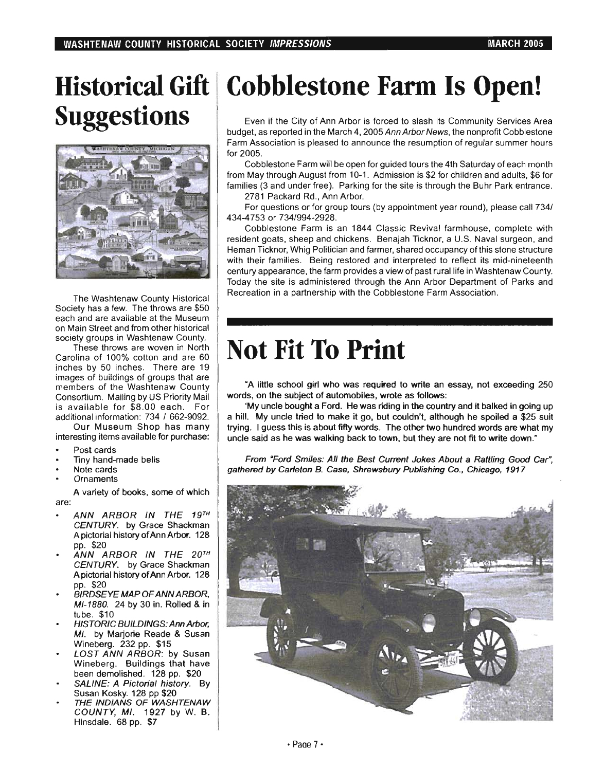# **Suggestions**



The Washtenaw County Historical Society has a few. The throws are \$50 each and are available at the Museum on Main Street and from other historical society groups in Washtenaw County.

These throws are woven in North Carolina of 100% cotton and are 60 inches by 50 inches. There are 19 images of buildings of groups that are members of the Washtenaw County Consortium. Mailing by US Priority Mail is available for \$8.00 each. For additional information: 734 / 662-9092.

Our Museum Shop has many interesting items available for purchase:

- Post cards
- Tiny hand-made bells
- Note cards
- **Ornaments**

are: A variety of books, some of which

- ANN ARBOR IN THE 19TH CENTURY. by Grace Shackman A pictorial history of Ann Arbor. 128 pp. \$20
- ANN ARBOR IN THE 20TH CENTURY. by Grace Shackman A pictorial history of Ann Arbor. 128 pp. \$20
- BIRDSEYE MAP OF ANN ARBOR, MI-1BBO. 24 by 30 in. Rolled & in tube. \$10
- HISTORIC BUILDINGS: Ann Arbor, MI. by Marjorie Reade & Susan Wineberg. 232 pp. \$15
- LOST ANN ARBOR: by Susan Wineberg. Buildings that have been demolished. 128 pp. \$20
- SALINE: A Pictorial history. By Susan Kosky. 128 pp \$20
- THE INDIANS OF WASHTENAW COUNTY, MI. 1927 by W. B. Hinsdale. 68 pp. \$7

# **Historical Gift I Cobblestone Farm Is Open!**

Even if the City of Ann Arbor is forced to slash its Community Services Area budget, as reported in the March 4, 2005 Ann Arbor News, the nonprofit Cobblestone Farm Association is pleased to announce the resumption of regular summer hours for 2005.

Cobblestone Farm will be open for guided tours the 4th Saturday of each month from May through August from 10-1. Admission is \$2 for children and adults, \$6 for families (3 and under free). Parking for the site is through the Buhr Park entrance.

2781 Packard Rd., Ann Arbor.

For questions or for group tours (by appointment year round), please call 734/ 434-4753 or 734/994-2928.

Cobblestone Farm is an 1844 Classic Revival farmhouse, complete with resident goats, sheep and chickens. Benajah Ticknor, a U.S. Naval surgeon, and Heman Ticknor, Whig Politician and farmer, shared occupancy of this stone structure with their families. Being restored and interpreted to reflect its mid-nineteenth century appearance, the farm provides a view of past rural life in Washtenaw County. Today the site is administered through the Ann Arbor Department of Parks and Recreation in a partnership with the Cobblestone Farm Association.

# **Not Fit To Print**

"A little school girl who was required to write an essay, not exceeding 250 words, on the subject of automobiles, wrote as follows:

'My uncle bought a Ford. He was riding in the country and it balked in going up a hill. My uncle tried to make it go, but couldn't, although he spoiled a \$25 suit trying. I guess this is about fifty words. The other two hundred words are what my uncle said as he was walking back to town, but they are not fit to write down."

From "Ford Smiles: All the Best Current Jokes About a Rattling Good Car", gathered by Carleton B. Case, Shrewsbury Publishing Co., Chicago, 1917